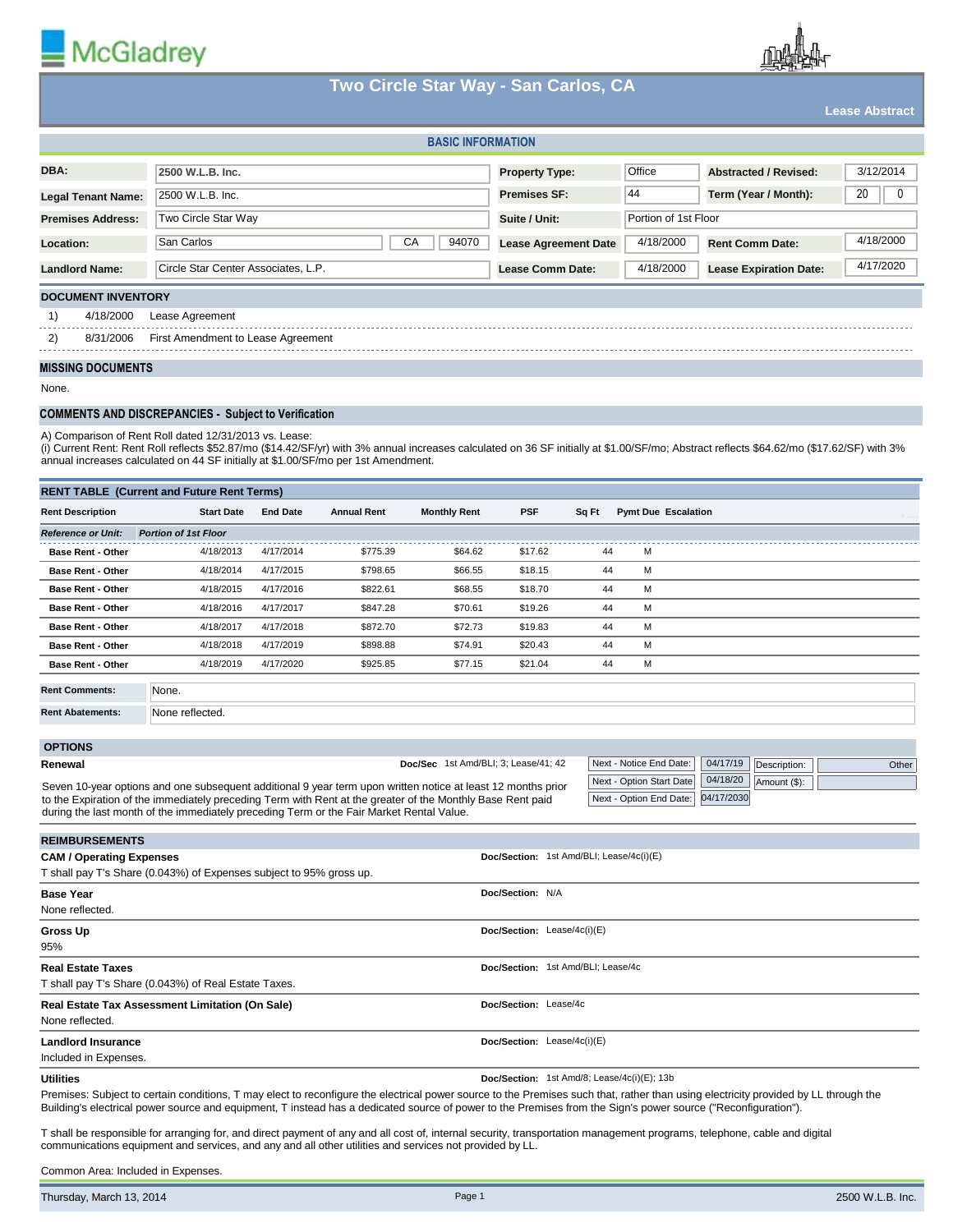

# **Two Circle Star Way - San Carlos, CA**

**Lease Abstract**

|                                                             | <b>BASIC INFORMATION</b>  |                                     |                             |                      |                               |           |
|-------------------------------------------------------------|---------------------------|-------------------------------------|-----------------------------|----------------------|-------------------------------|-----------|
| DBA:                                                        |                           | 2500 W.L.B. Inc.                    | <b>Property Type:</b>       | Office               | <b>Abstracted / Revised:</b>  | 3/12/2014 |
| <b>Legal Tenant Name:</b>                                   |                           | 2500 W.L.B. Inc.                    | <b>Premises SF:</b>         | 44                   | Term (Year / Month):          | 20<br>0   |
| <b>Premises Address:</b>                                    |                           | Two Circle Star Way                 | Suite / Unit:               | Portion of 1st Floor |                               |           |
| Location:                                                   |                           | CA<br>94070<br>San Carlos           | <b>Lease Agreement Date</b> | 4/18/2000            | <b>Rent Comm Date:</b>        | 4/18/2000 |
| <b>Landlord Name:</b>                                       |                           | Circle Star Center Associates, L.P. | <b>Lease Comm Date:</b>     | 4/18/2000            | <b>Lease Expiration Date:</b> | 4/17/2020 |
|                                                             | <b>DOCUMENT INVENTORY</b> |                                     |                             |                      |                               |           |
| 1)                                                          | 4/18/2000                 | Lease Agreement                     |                             |                      |                               |           |
| 2)<br>8/31/2006                                             |                           | First Amendment to Lease Agreement  |                             |                      |                               |           |
| <b>MISSING DOCUMENTS</b>                                    |                           |                                     |                             |                      |                               |           |
| None.                                                       |                           |                                     |                             |                      |                               |           |
| <b>COMMENTS AND DISCREPANCIES - Subject to Verification</b> |                           |                                     |                             |                      |                               |           |

A) Comparison of Rent Roll dated 12/31/2013 vs. Lease:

(i) Current Rent: Rent Roll reflects \$52.87/mo (\$14.42/SF/yr) with 3% annual increases calculated on 36 SF initially at \$1.00/SF/mo; Abstract reflects \$64.62/mo (\$17.62/SF) with 3% annual increases calculated on 44 SF initially at \$1.00/SF/mo per 1st Amendment.

| <b>RENT TABLE (Current and Future Rent Terms)</b> |                             |                 |                    |                     |            |       |                            |  |
|---------------------------------------------------|-----------------------------|-----------------|--------------------|---------------------|------------|-------|----------------------------|--|
| <b>Rent Description</b>                           | <b>Start Date</b>           | <b>End Date</b> | <b>Annual Rent</b> | <b>Monthly Rent</b> | <b>PSF</b> | Sq Ft | <b>Pymt Due Escalation</b> |  |
| <b>Reference or Unit:</b>                         | <b>Portion of 1st Floor</b> |                 |                    |                     |            |       |                            |  |
| <b>Base Rent - Other</b>                          | 4/18/2013                   | 4/17/2014       | \$775.39           | \$64.62             | \$17.62    | 44    | м                          |  |
| <b>Base Rent - Other</b>                          | 4/18/2014                   | 4/17/2015       | \$798.65           | \$66.55             | \$18.15    | 44    | M                          |  |
| <b>Base Rent - Other</b>                          | 4/18/2015                   | 4/17/2016       | \$822.61           | \$68.55             | \$18.70    | 44    | м                          |  |
| <b>Base Rent - Other</b>                          | 4/18/2016                   | 4/17/2017       | \$847.28           | \$70.61             | \$19.26    | 44    | м                          |  |
| <b>Base Rent - Other</b>                          | 4/18/2017                   | 4/17/2018       | \$872.70           | \$72.73             | \$19.83    | 44    | м                          |  |
| <b>Base Rent - Other</b>                          | 4/18/2018                   | 4/17/2019       | \$898.88           | \$74.91             | \$20.43    | 44    | м                          |  |
| <b>Base Rent - Other</b>                          | 4/18/2019                   | 4/17/2020       | \$925.85           | \$77.15             | \$21.04    | 44    | м                          |  |
| <b>Rent Comments:</b>                             | None.                       |                 |                    |                     |            |       |                            |  |

**Rent Abatements:** None reflected.

 **OPTIONS**

**Renewal**

| Doc/Sec 1st Amd/BLI; 3; Lease/41; 42 | Next - Notice End Date:   04/17/19   Description: |  | Other |
|--------------------------------------|---------------------------------------------------|--|-------|

| $\frac{1}{2}$ Next - Notice Life Date. $\frac{1}{2}$ 04/17/15 |  |
|---------------------------------------------------------------|--|
| Next - Option Start Date 04/18/20                             |  |
| Next - Option End Date: 04/17/2030                            |  |

Description: Amount (\$):

Seven 10-year options and one subsequent additional 9 year term upon written notice at least 12 months prior to the Expiration of the immediately preceding Term with Rent at the greater of the Monthly Base Rent paid during the last month of the immediately preceding Term or the Fair Market Rental Value.

| <b>REIMBURSEMENTS</b>                                               |                                             |
|---------------------------------------------------------------------|---------------------------------------------|
| <b>CAM / Operating Expenses</b>                                     | Doc/Section: 1st Amd/BLI; Lease/4c(i)(E)    |
| T shall pay T's Share (0.043%) of Expenses subject to 95% gross up. |                                             |
| <b>Base Year</b>                                                    | Doc/Section: N/A                            |
| None reflected.                                                     |                                             |
| Gross Up                                                            | Doc/Section: Lease/4c(i)(E)                 |
| 95%                                                                 |                                             |
| <b>Real Estate Taxes</b>                                            | Doc/Section: 1st Amd/BLI; Lease/4c          |
| T shall pay T's Share (0.043%) of Real Estate Taxes.                |                                             |
| Real Estate Tax Assessment Limitation (On Sale)                     | Doc/Section: Lease/4c                       |
| None reflected.                                                     |                                             |
| <b>Landlord Insurance</b>                                           | Doc/Section: Lease/4c(i)(E)                 |
| Included in Expenses.                                               |                                             |
| <b>Utilities</b>                                                    | Doc/Section: 1st Amd/8; Lease/4c(i)(E); 13b |

Premises: Subject to certain conditions, T may elect to reconfigure the electrical power source to the Premises such that, rather than using electricity provided by LL through the Building's electrical power source and equipment, T instead has a dedicated source of power to the Premises from the Sign's power source ("Reconfiguration").

T shall be responsible for arranging for, and direct payment of any and all cost of, internal security, transportation management programs, telephone, cable and digital communications equipment and services, and any and all other utilities and services not provided by LL.

Common Area: Included in Expenses.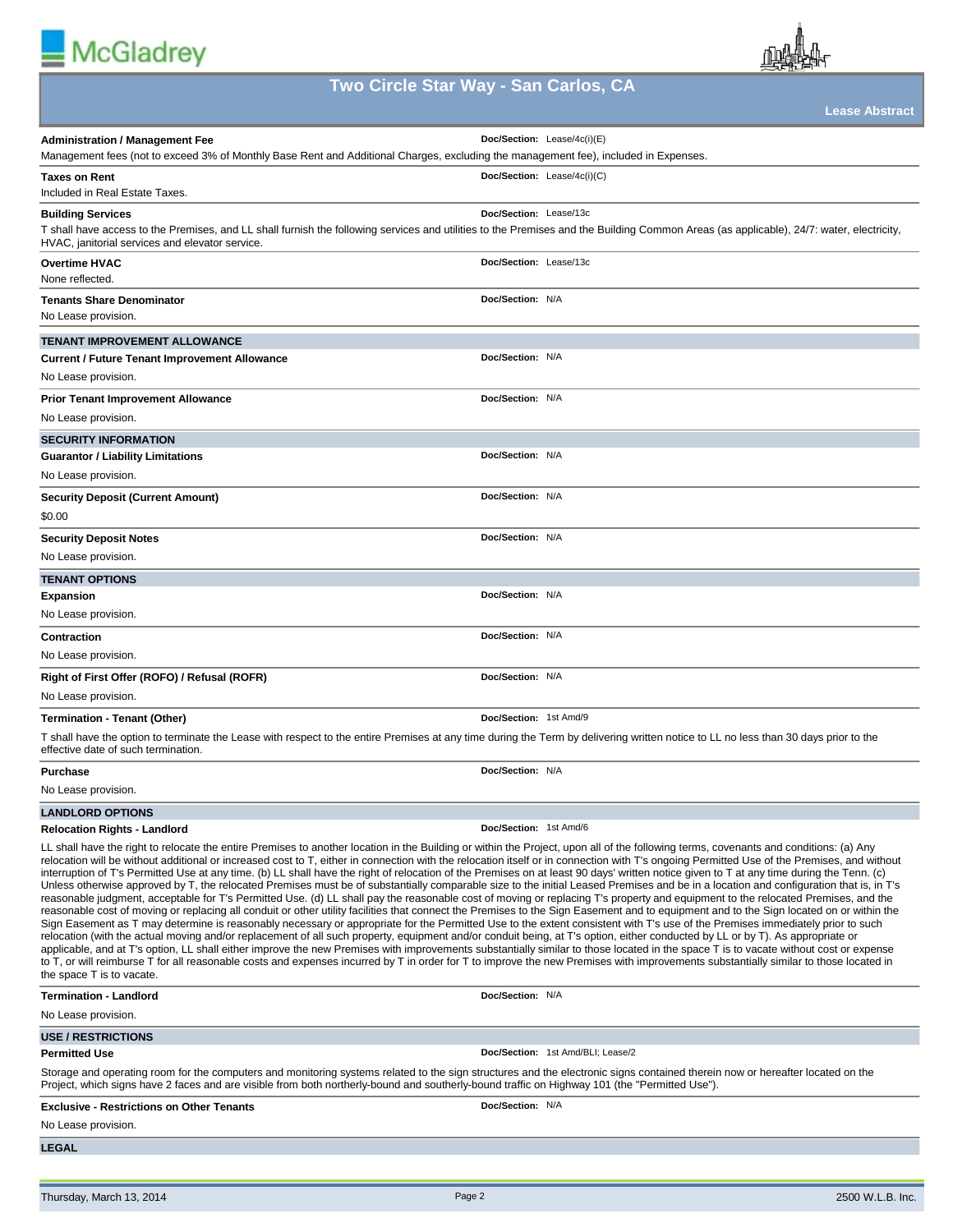



# **Two Circle Star Way - San Carlos, CA**

**Lease Abstract**

|                                                                                                                                                                                                                                                                                                                                                                                                                                                                                                                                                                                                                                                                                                                                                                                                                                                                                                                                                                                                                                                                                                                                                                                                                                                                                                                                                                                                                                                                                                                                                                                                                                                                                                                                                                                                                                                                                                                                        | --------------                    |
|----------------------------------------------------------------------------------------------------------------------------------------------------------------------------------------------------------------------------------------------------------------------------------------------------------------------------------------------------------------------------------------------------------------------------------------------------------------------------------------------------------------------------------------------------------------------------------------------------------------------------------------------------------------------------------------------------------------------------------------------------------------------------------------------------------------------------------------------------------------------------------------------------------------------------------------------------------------------------------------------------------------------------------------------------------------------------------------------------------------------------------------------------------------------------------------------------------------------------------------------------------------------------------------------------------------------------------------------------------------------------------------------------------------------------------------------------------------------------------------------------------------------------------------------------------------------------------------------------------------------------------------------------------------------------------------------------------------------------------------------------------------------------------------------------------------------------------------------------------------------------------------------------------------------------------------|-----------------------------------|
| <b>Administration / Management Fee</b>                                                                                                                                                                                                                                                                                                                                                                                                                                                                                                                                                                                                                                                                                                                                                                                                                                                                                                                                                                                                                                                                                                                                                                                                                                                                                                                                                                                                                                                                                                                                                                                                                                                                                                                                                                                                                                                                                                 | Doc/Section: Lease/4c(i)(E)       |
| Management fees (not to exceed 3% of Monthly Base Rent and Additional Charges, excluding the management fee), included in Expenses.                                                                                                                                                                                                                                                                                                                                                                                                                                                                                                                                                                                                                                                                                                                                                                                                                                                                                                                                                                                                                                                                                                                                                                                                                                                                                                                                                                                                                                                                                                                                                                                                                                                                                                                                                                                                    |                                   |
| Taxes on Rent<br>Included in Real Estate Taxes                                                                                                                                                                                                                                                                                                                                                                                                                                                                                                                                                                                                                                                                                                                                                                                                                                                                                                                                                                                                                                                                                                                                                                                                                                                                                                                                                                                                                                                                                                                                                                                                                                                                                                                                                                                                                                                                                         | Doc/Section: Lease/4c(i)(C)       |
| <b>Building Services</b><br>T shall have access to the Premises, and LL shall furnish the following services and utilities to the Premises and the Building Common Areas (as applicable), 24/7: water, electricity,<br>HVAC, janitorial services and elevator service.                                                                                                                                                                                                                                                                                                                                                                                                                                                                                                                                                                                                                                                                                                                                                                                                                                                                                                                                                                                                                                                                                                                                                                                                                                                                                                                                                                                                                                                                                                                                                                                                                                                                 | Doc/Section: Lease/13c            |
| <b>Overtime HVAC</b><br>None reflected.                                                                                                                                                                                                                                                                                                                                                                                                                                                                                                                                                                                                                                                                                                                                                                                                                                                                                                                                                                                                                                                                                                                                                                                                                                                                                                                                                                                                                                                                                                                                                                                                                                                                                                                                                                                                                                                                                                | Doc/Section: Lease/13c            |
| <b>Tenants Share Denominator</b><br>No Lease provision.                                                                                                                                                                                                                                                                                                                                                                                                                                                                                                                                                                                                                                                                                                                                                                                                                                                                                                                                                                                                                                                                                                                                                                                                                                                                                                                                                                                                                                                                                                                                                                                                                                                                                                                                                                                                                                                                                | Doc/Section: N/A                  |
| TENANT IMPROVEMENT ALLOWANCE                                                                                                                                                                                                                                                                                                                                                                                                                                                                                                                                                                                                                                                                                                                                                                                                                                                                                                                                                                                                                                                                                                                                                                                                                                                                                                                                                                                                                                                                                                                                                                                                                                                                                                                                                                                                                                                                                                           |                                   |
| <b>Current / Future Tenant Improvement Allowance</b><br>No Lease provision.                                                                                                                                                                                                                                                                                                                                                                                                                                                                                                                                                                                                                                                                                                                                                                                                                                                                                                                                                                                                                                                                                                                                                                                                                                                                                                                                                                                                                                                                                                                                                                                                                                                                                                                                                                                                                                                            | Doc/Section: N/A                  |
| <b>Prior Tenant Improvement Allowance</b><br>No Lease provision.                                                                                                                                                                                                                                                                                                                                                                                                                                                                                                                                                                                                                                                                                                                                                                                                                                                                                                                                                                                                                                                                                                                                                                                                                                                                                                                                                                                                                                                                                                                                                                                                                                                                                                                                                                                                                                                                       | Doc/Section: N/A                  |
| <b>SECURITY INFORMATION</b>                                                                                                                                                                                                                                                                                                                                                                                                                                                                                                                                                                                                                                                                                                                                                                                                                                                                                                                                                                                                                                                                                                                                                                                                                                                                                                                                                                                                                                                                                                                                                                                                                                                                                                                                                                                                                                                                                                            |                                   |
| Guarantor / Liability Limitations<br>No Lease provision.                                                                                                                                                                                                                                                                                                                                                                                                                                                                                                                                                                                                                                                                                                                                                                                                                                                                                                                                                                                                                                                                                                                                                                                                                                                                                                                                                                                                                                                                                                                                                                                                                                                                                                                                                                                                                                                                               | Doc/Section: N/A                  |
|                                                                                                                                                                                                                                                                                                                                                                                                                                                                                                                                                                                                                                                                                                                                                                                                                                                                                                                                                                                                                                                                                                                                                                                                                                                                                                                                                                                                                                                                                                                                                                                                                                                                                                                                                                                                                                                                                                                                        |                                   |
| <b>Security Deposit (Current Amount)</b><br>\$0.00                                                                                                                                                                                                                                                                                                                                                                                                                                                                                                                                                                                                                                                                                                                                                                                                                                                                                                                                                                                                                                                                                                                                                                                                                                                                                                                                                                                                                                                                                                                                                                                                                                                                                                                                                                                                                                                                                     | Doc/Section: N/A                  |
| <b>Security Deposit Notes</b>                                                                                                                                                                                                                                                                                                                                                                                                                                                                                                                                                                                                                                                                                                                                                                                                                                                                                                                                                                                                                                                                                                                                                                                                                                                                                                                                                                                                                                                                                                                                                                                                                                                                                                                                                                                                                                                                                                          | Doc/Section: N/A                  |
| No Lease provision.                                                                                                                                                                                                                                                                                                                                                                                                                                                                                                                                                                                                                                                                                                                                                                                                                                                                                                                                                                                                                                                                                                                                                                                                                                                                                                                                                                                                                                                                                                                                                                                                                                                                                                                                                                                                                                                                                                                    |                                   |
| TENANT OPTIONS                                                                                                                                                                                                                                                                                                                                                                                                                                                                                                                                                                                                                                                                                                                                                                                                                                                                                                                                                                                                                                                                                                                                                                                                                                                                                                                                                                                                                                                                                                                                                                                                                                                                                                                                                                                                                                                                                                                         |                                   |
| Expansion                                                                                                                                                                                                                                                                                                                                                                                                                                                                                                                                                                                                                                                                                                                                                                                                                                                                                                                                                                                                                                                                                                                                                                                                                                                                                                                                                                                                                                                                                                                                                                                                                                                                                                                                                                                                                                                                                                                              | Doc/Section: N/A                  |
| No Lease provision.                                                                                                                                                                                                                                                                                                                                                                                                                                                                                                                                                                                                                                                                                                                                                                                                                                                                                                                                                                                                                                                                                                                                                                                                                                                                                                                                                                                                                                                                                                                                                                                                                                                                                                                                                                                                                                                                                                                    |                                   |
| Contraction                                                                                                                                                                                                                                                                                                                                                                                                                                                                                                                                                                                                                                                                                                                                                                                                                                                                                                                                                                                                                                                                                                                                                                                                                                                                                                                                                                                                                                                                                                                                                                                                                                                                                                                                                                                                                                                                                                                            | Doc/Section: N/A                  |
| No Lease provision.                                                                                                                                                                                                                                                                                                                                                                                                                                                                                                                                                                                                                                                                                                                                                                                                                                                                                                                                                                                                                                                                                                                                                                                                                                                                                                                                                                                                                                                                                                                                                                                                                                                                                                                                                                                                                                                                                                                    |                                   |
| Right of First Offer (ROFO) / Refusal (ROFR)                                                                                                                                                                                                                                                                                                                                                                                                                                                                                                                                                                                                                                                                                                                                                                                                                                                                                                                                                                                                                                                                                                                                                                                                                                                                                                                                                                                                                                                                                                                                                                                                                                                                                                                                                                                                                                                                                           | Doc/Section: N/A                  |
| No Lease provision.                                                                                                                                                                                                                                                                                                                                                                                                                                                                                                                                                                                                                                                                                                                                                                                                                                                                                                                                                                                                                                                                                                                                                                                                                                                                                                                                                                                                                                                                                                                                                                                                                                                                                                                                                                                                                                                                                                                    |                                   |
| Termination - Tenant (Other)                                                                                                                                                                                                                                                                                                                                                                                                                                                                                                                                                                                                                                                                                                                                                                                                                                                                                                                                                                                                                                                                                                                                                                                                                                                                                                                                                                                                                                                                                                                                                                                                                                                                                                                                                                                                                                                                                                           | Doc/Section: 1st Amd/9            |
| T shall have the option to terminate the Lease with respect to the entire Premises at any time during the Term by delivering written notice to LL no less than 30 days prior to the<br>effective date of such termination.                                                                                                                                                                                                                                                                                                                                                                                                                                                                                                                                                                                                                                                                                                                                                                                                                                                                                                                                                                                                                                                                                                                                                                                                                                                                                                                                                                                                                                                                                                                                                                                                                                                                                                             |                                   |
| Purchase                                                                                                                                                                                                                                                                                                                                                                                                                                                                                                                                                                                                                                                                                                                                                                                                                                                                                                                                                                                                                                                                                                                                                                                                                                                                                                                                                                                                                                                                                                                                                                                                                                                                                                                                                                                                                                                                                                                               | Doc/Section: N/A                  |
| No Lease provision.                                                                                                                                                                                                                                                                                                                                                                                                                                                                                                                                                                                                                                                                                                                                                                                                                                                                                                                                                                                                                                                                                                                                                                                                                                                                                                                                                                                                                                                                                                                                                                                                                                                                                                                                                                                                                                                                                                                    |                                   |
| <b>LANDLORD OPTIONS</b>                                                                                                                                                                                                                                                                                                                                                                                                                                                                                                                                                                                                                                                                                                                                                                                                                                                                                                                                                                                                                                                                                                                                                                                                                                                                                                                                                                                                                                                                                                                                                                                                                                                                                                                                                                                                                                                                                                                |                                   |
| Relocation Rights - Landlord                                                                                                                                                                                                                                                                                                                                                                                                                                                                                                                                                                                                                                                                                                                                                                                                                                                                                                                                                                                                                                                                                                                                                                                                                                                                                                                                                                                                                                                                                                                                                                                                                                                                                                                                                                                                                                                                                                           | Doc/Section: 1st Amd/6            |
| LL shall have the right to relocate the entire Premises to another location in the Building or within the Project, upon all of the following terms, covenants and conditions: (a) Any<br>relocation will be without additional or increased cost to T, either in connection with the relocation itself or in connection with T's ongoing Permitted Use of the Premises, and without<br>interruption of T's Permitted Use at any time. (b) LL shall have the right of relocation of the Premises on at least 90 days' written notice given to T at any time during the Tenn. (c)<br>Unless otherwise approved by T, the relocated Premises must be of substantially comparable size to the initial Leased Premises and be in a location and configuration that is, in T's<br>reasonable judgment, acceptable for T's Permitted Use. (d) LL shall pay the reasonable cost of moving or replacing T's property and equipment to the relocated Premises, and the<br>reasonable cost of moving or replacing all conduit or other utility facilities that connect the Premises to the Sign Easement and to equipment and to the Sign located on or within the<br>Sign Easement as T may determine is reasonably necessary or appropriate for the Permitted Use to the extent consistent with T's use of the Premises immediately prior to such<br>relocation (with the actual moving and/or replacement of all such property, equipment and/or conduit being, at T's option, either conducted by LL or by T). As appropriate or<br>applicable, and at T's option, LL shall either improve the new Premises with improvements substantially similar to those located in the space T is to vacate without cost or expense<br>to T, or will reimburse T for all reasonable costs and expenses incurred by T in order for T to improve the new Premises with improvements substantially similar to those located in<br>the space T is to vacate. |                                   |
| Termination - Landlord                                                                                                                                                                                                                                                                                                                                                                                                                                                                                                                                                                                                                                                                                                                                                                                                                                                                                                                                                                                                                                                                                                                                                                                                                                                                                                                                                                                                                                                                                                                                                                                                                                                                                                                                                                                                                                                                                                                 | Doc/Section: N/A                  |
| No Lease provision.                                                                                                                                                                                                                                                                                                                                                                                                                                                                                                                                                                                                                                                                                                                                                                                                                                                                                                                                                                                                                                                                                                                                                                                                                                                                                                                                                                                                                                                                                                                                                                                                                                                                                                                                                                                                                                                                                                                    |                                   |
| <b>USE / RESTRICTIONS</b>                                                                                                                                                                                                                                                                                                                                                                                                                                                                                                                                                                                                                                                                                                                                                                                                                                                                                                                                                                                                                                                                                                                                                                                                                                                                                                                                                                                                                                                                                                                                                                                                                                                                                                                                                                                                                                                                                                              |                                   |
| Permitted Use<br>Storage and operating room for the computers and monitoring systems related to the sign structures and the electronic signs contained therein now or hereafter located on the<br>Project, which signs have 2 faces and are visible from both northerly-bound and southerly-bound traffic on Highway 101 (the "Permitted Use").                                                                                                                                                                                                                                                                                                                                                                                                                                                                                                                                                                                                                                                                                                                                                                                                                                                                                                                                                                                                                                                                                                                                                                                                                                                                                                                                                                                                                                                                                                                                                                                        | Doc/Section: 1st Amd/BLI; Lease/2 |
| <b>Exclusive - Restrictions on Other Tenants</b><br>No Lease provision.                                                                                                                                                                                                                                                                                                                                                                                                                                                                                                                                                                                                                                                                                                                                                                                                                                                                                                                                                                                                                                                                                                                                                                                                                                                                                                                                                                                                                                                                                                                                                                                                                                                                                                                                                                                                                                                                | Doc/Section: N/A                  |
|                                                                                                                                                                                                                                                                                                                                                                                                                                                                                                                                                                                                                                                                                                                                                                                                                                                                                                                                                                                                                                                                                                                                                                                                                                                                                                                                                                                                                                                                                                                                                                                                                                                                                                                                                                                                                                                                                                                                        |                                   |
| LEGAL                                                                                                                                                                                                                                                                                                                                                                                                                                                                                                                                                                                                                                                                                                                                                                                                                                                                                                                                                                                                                                                                                                                                                                                                                                                                                                                                                                                                                                                                                                                                                                                                                                                                                                                                                                                                                                                                                                                                  |                                   |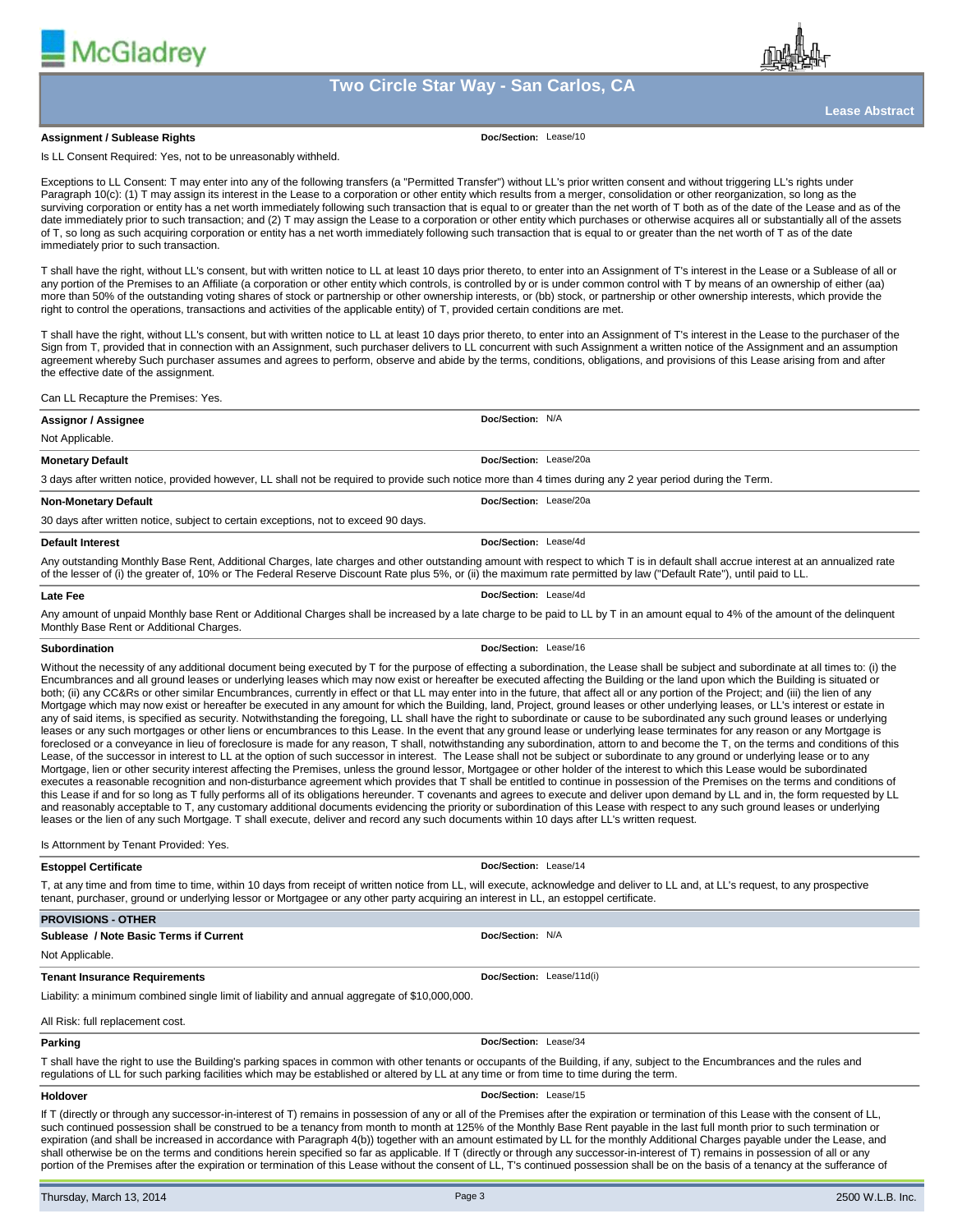





**Lease Abstract**

#### **Assignment / Sublease Rights**

**Doc/Section:** Lease/10

Is LL Consent Required: Yes, not to be unreasonably withheld.

Exceptions to LL Consent: T may enter into any of the following transfers (a "Permitted Transfer") without LL's prior written consent and without triggering LL's rights under Paragraph 10(c): (1) T may assign its interest in the Lease to a corporation or other entity which results from a merger, consolidation or other reorganization, so long as the surviving corporation or entity has a net worth immediately following such transaction that is equal to or greater than the net worth of T both as of the date of the Lease and as of the date immediately prior to such transaction; and (2) T may assign the Lease to a corporation or other entity which purchases or otherwise acquires all or substantially all of the assets of T, so long as such acquiring corporation or entity has a net worth immediately following such transaction that is equal to or greater than the net worth of T as of the date immediately prior to such transaction.

T shall have the right, without LL's consent, but with written notice to LL at least 10 days prior thereto, to enter into an Assignment of T's interest in the Lease or a Sublease of all or any portion of the Premises to an Affiliate (a corporation or other entity which controls, is controlled by or is under common control with T by means of an ownership of either (aa) more than 50% of the outstanding voting shares of stock or partnership or other ownership interests, or (bb) stock, or partnership or other ownership interests, which provide the right to control the operations, transactions and activities of the applicable entity) of T, provided certain conditions are met.

T shall have the right, without LL's consent, but with written notice to LL at least 10 days prior thereto, to enter into an Assignment of T's interest in the Lease to the purchaser of the Sign from T, provided that in connection with an Assignment, such purchaser delivers to LL concurrent with such Assignment a written notice of the Assignment and an assumption agreement whereby Such purchaser assumes and agrees to perform, observe and abide by the terms, conditions, obligations, and provisions of this Lease arising from and after the effective date of the assignment.

Can LL Recapture the Premises: Yes.

| Assignor / Assignee                                                                                                                                                                | Doc/Section: N/A       |  |  |  |
|------------------------------------------------------------------------------------------------------------------------------------------------------------------------------------|------------------------|--|--|--|
| Not Applicable.                                                                                                                                                                    |                        |  |  |  |
| <b>Monetary Default</b>                                                                                                                                                            | Doc/Section: Lease/20a |  |  |  |
| 3 days after written notice, provided however, LL shall not be required to provide such notice more than 4 times during any 2 year period during the Term.                         |                        |  |  |  |
| <b>Non-Monetary Default</b>                                                                                                                                                        | Doc/Section: Lease/20a |  |  |  |
| 30 days after written notice, subject to certain exceptions, not to exceed 90 days.                                                                                                |                        |  |  |  |
| <b>Default Interest</b>                                                                                                                                                            | Doc/Section: Lease/4d  |  |  |  |
| Any outstanding Monthly Base Rent, Additional Charges, late charges and other outstanding amount with respect to which T is in default shall accrue interest at an annualized rate |                        |  |  |  |

of the lesser of (i) the greater of, 10% or The Federal Reserve Discount Rate plus 5%, or (ii) the maximum rate permitted by law ("Default Rate"), until paid to LL.

**Late Fee**

Any amount of unpaid Monthly base Rent or Additional Charges shall be increased by a late charge to be paid to LL by T in an amount equal to 4% of the amount of the delinquent Monthly Base Rent or Additional Charges.

#### **Subordination**

**Doc/Section:** Lease/16

**Doc/Section:** Lease/4d

Without the necessity of any additional document being executed by T for the purpose of effecting a subordination, the Lease shall be subject and subordinate at all times to: (i) the Encumbrances and all ground leases or underlying leases which may now exist or hereafter be executed affecting the Building or the land upon which the Building is situated or both; (ii) any CC&Rs or other similar Encumbrances, currently in effect or that LL may enter into in the future, that affect all or any portion of the Project; and (iii) the lien of any Mortgage which may now exist or hereafter be executed in any amount for which the Building, land, Project, ground leases or other underlying leases, or LL's interest or estate in any of said items, is specified as security. Notwithstanding the foregoing, LL shall have the right to subordinate or cause to be subordinated any such ground leases or underlying leases or any such mortgages or other liens or encumbrances to this Lease. In the event that any ground lease or underlying lease terminates for any reason or any Mortgage is foreclosed or a conveyance in lieu of foreclosure is made for any reason, T shall, notwithstanding any subordination, attorn to and become the T, on the terms and conditions of this Lease, of the successor in interest to LL at the option of such successor in interest. The Lease shall not be subject or subordinate to any ground or underlying lease or to any Mortgage, lien or other security interest affecting the Premises, unless the ground lessor, Mortgagee or other holder of the interest to which this Lease would be subordinated executes a reasonable recognition and non-disturbance agreement which provides that T shall be entitled to continue in possession of the Premises on the terms and conditions of this Lease if and for so long as T fully performs all of its obligations hereunder. T covenants and agrees to execute and deliver upon demand by LL and in, the form requested by LL and reasonably acceptable to T, any customary additional documents evidencing the priority or subordination of this Lease with respect to any such ground leases or underlying leases or the lien of any such Mortgage. T shall execute, deliver and record any such documents within 10 days after LL's written request.

#### Is Attornment by Tenant Provided: Yes.

#### **Estoppel Certificate**

T, at any time and from time to time, within 10 days from receipt of written notice from LL, will execute, acknowledge and deliver to LL and, at LL's request, to any prospective tenant, purchaser, ground or underlying lessor or Mortgagee or any other party acquiring an interest in LL, an estoppel certificate.

| <b>PROVISIONS - OTHER</b>                                                                     |                           |  |  |  |
|-----------------------------------------------------------------------------------------------|---------------------------|--|--|--|
| Sublease / Note Basic Terms if Current                                                        | Doc/Section: N/A          |  |  |  |
| Not Applicable.                                                                               |                           |  |  |  |
| <b>Tenant Insurance Requirements</b>                                                          | Doc/Section: Lease/11d(i) |  |  |  |
| Liability: a minimum combined single limit of liability and annual aggregate of \$10,000,000. |                           |  |  |  |
| All Risk: full replacement cost.                                                              |                           |  |  |  |

#### **Parking**

T shall have the right to use the Building's parking spaces in common with other tenants or occupants of the Building, if any, subject to the Encumbrances and the rules and regulations of LL for such parking facilities which may be established or altered by LL at any time or from time to time during the term.

#### **Holdover**

If T (directly or through any successor-in-interest of T) remains in possession of any or all of the Premises after the expiration or termination of this Lease with the consent of LL, such continued possession shall be construed to be a tenancy from month to month at 125% of the Monthly Base Rent payable in the last full month prior to such termination or expiration (and shall be increased in accordance with Paragraph 4(b)) together with an amount estimated by LL for the monthly Additional Charges payable under the Lease, and shall otherwise be on the terms and conditions herein specified so far as applicable. If T (directly or through any successor-in-interest of T) remains in possession of all or any portion of the Premises after the expiration or termination of this Lease without the consent of LL, T's continued possession shall be on the basis of a tenancy at the sufferance of

**Doc/Section:** Lease/34

**Doc/Section:** Lease/15

**Doc/Section:** Lease/14